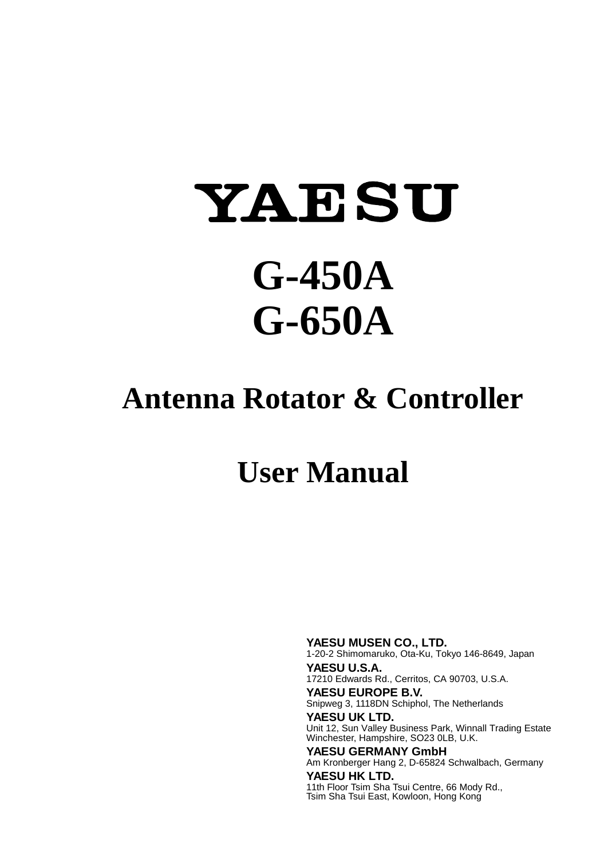# YAESU **G-450A G-650A**

## **Antenna Rotator & Controller**

## **User Manual**

**YAESU MUSEN CO., LTD.** 1-20-2 Shimomaruko, Ota-Ku, Tokyo 146-8649, Japan **YAESU U.S.A.** 17210 Edwards Rd., Cerritos, CA 90703, U.S.A. **YAESU EUROPE B.V.** Snipweg 3, 1118DN Schiphol, The Netherlands **YAESU UK LTD.** Unit 12, Sun Valley Business Park, Winnall Trading Estate Winchester, Hampshire, SO23 0LB, U.K. **YAESU GERMANY GmbH** Am Kronberger Hang 2, D-65824 Schwalbach, Germany **YAESU HK LTD.**

11th Floor Tsim Sha Tsui Centre, 66 Mody Rd., Tsim Sha Tsui East, Kowloon, Hong Kong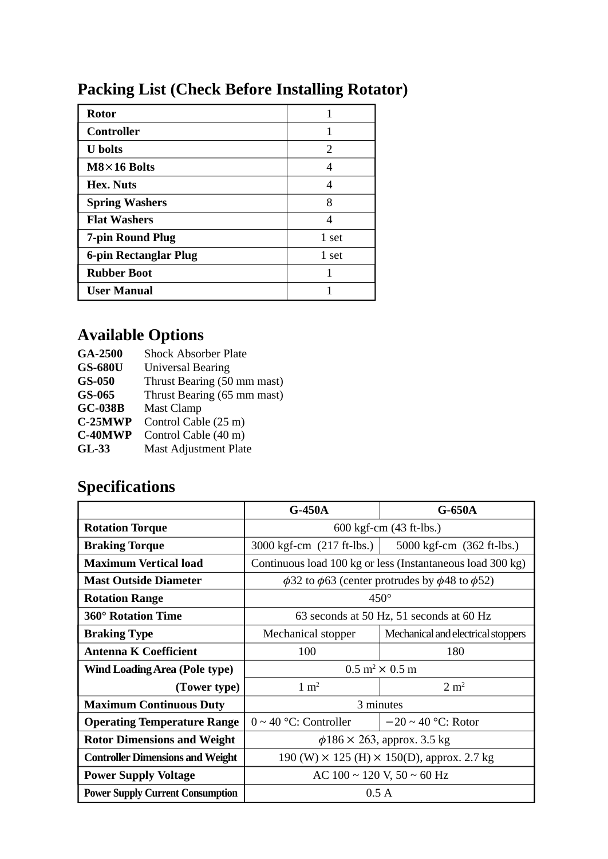## **Packing List (Check Before Installing Rotator)**

| <b>Rotor</b>          |       |
|-----------------------|-------|
| <b>Controller</b>     |       |
| <b>U</b> bolts        | 2     |
| $M8\times16$ Bolts    |       |
| Hex. Nuts             | 4     |
| <b>Spring Washers</b> | 8     |
| <b>Flat Washers</b>   |       |
| 7-pin Round Plug      | 1 set |
| 6-pin Rectanglar Plug | 1 set |
| <b>Rubber Boot</b>    |       |
| <b>User Manual</b>    |       |

## **Available Options**

| GA-2500        | <b>Shock Absorber Plate</b> |
|----------------|-----------------------------|
| <b>GS-680U</b> | Universal Bearing           |
| $GS-050$       | Thrust Bearing (50 mm mast) |
| GS-065         | Thrust Bearing (65 mm mast) |
| <b>GC-038B</b> | Mast Clamp                  |
| $C-25MWP$      | Control Cable (25 m)        |
| C-40MWP        | Control Cable (40 m)        |
| $GL-33$        | Mast Adjustment Plate       |

## **Specifications**

|                                         | $G-450A$<br>$G-650A$                                                |                                    |  |
|-----------------------------------------|---------------------------------------------------------------------|------------------------------------|--|
| <b>Rotation Torque</b>                  | 600 kgf-cm (43 ft-lbs.)                                             |                                    |  |
| <b>Braking Torque</b>                   | $3000 \text{ kgf-cm}$ (217 ft-lbs.)<br>5000 kgf-cm (362 ft-lbs.)    |                                    |  |
| <b>Maximum Vertical load</b>            | Continuous load 100 kg or less (Instantaneous load 300 kg)          |                                    |  |
| <b>Mast Outside Diameter</b>            | $\phi$ 32 to $\phi$ 63 (center protrudes by $\phi$ 48 to $\phi$ 52) |                                    |  |
| <b>Rotation Range</b>                   | $450^\circ$                                                         |                                    |  |
| 360° Rotation Time                      | 63 seconds at 50 Hz, 51 seconds at 60 Hz                            |                                    |  |
| <b>Braking Type</b>                     | Mechanical stopper                                                  | Mechanical and electrical stoppers |  |
| <b>Antenna K Coefficient</b>            | 100<br>180                                                          |                                    |  |
| Wind Loading Area (Pole type)           | $0.5 \text{ m}^2 \times 0.5 \text{ m}$                              |                                    |  |
| (Tower type)                            | $1 \text{ m}^2$<br>2 m <sup>2</sup>                                 |                                    |  |
| <b>Maximum Continuous Duty</b>          | 3 minutes                                                           |                                    |  |
| <b>Operating Temperature Range</b>      | $-20 \sim 40$ °C: Rotor<br>$0 \sim 40$ °C: Controller               |                                    |  |
| <b>Rotor Dimensions and Weight</b>      | $\phi$ 186 × 263, approx. 3.5 kg                                    |                                    |  |
| <b>Controller Dimensions and Weight</b> | 190 (W) $\times$ 125 (H) $\times$ 150(D), approx. 2.7 kg            |                                    |  |
| <b>Power Supply Voltage</b>             | AC $100 \sim 120$ V, $50 \sim 60$ Hz                                |                                    |  |
| <b>Power Supply Current Consumption</b> | 0.5A                                                                |                                    |  |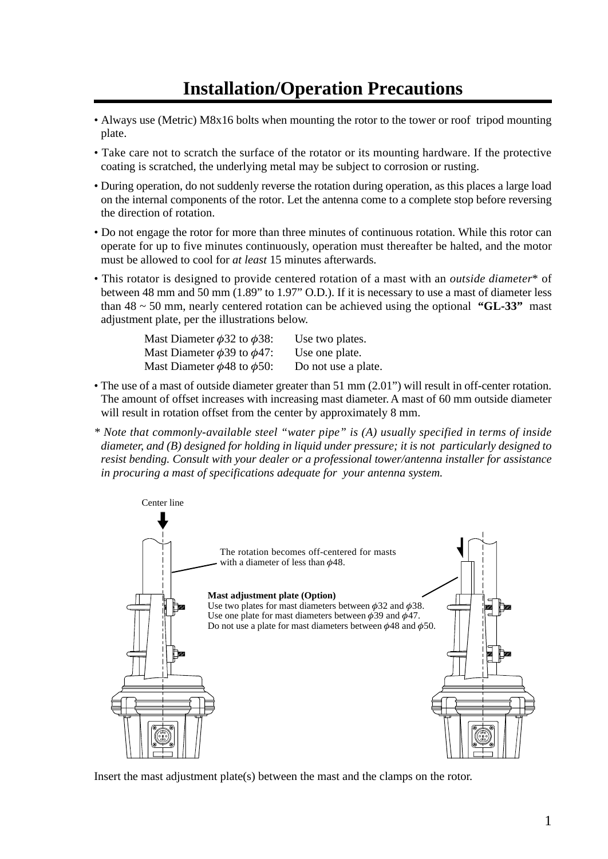## **Installation/Operation Precautions**

- Always use (Metric) M8x16 bolts when mounting the rotor to the tower or roof tripod mounting plate.
- Take care not to scratch the surface of the rotator or its mounting hardware. If the protective coating is scratched, the underlying metal may be subject to corrosion or rusting.
- During operation, do not suddenly reverse the rotation during operation, as this places a large load on the internal components of the rotor. Let the antenna come to a complete stop before reversing the direction of rotation.
- Do not engage the rotor for more than three minutes of continuous rotation. While this rotor can operate for up to five minutes continuously, operation must thereafter be halted, and the motor must be allowed to cool for *at least* 15 minutes afterwards.
- This rotator is designed to provide centered rotation of a mast with an *outside diameter*\* of between 48 mm and 50 mm (1.89" to 1.97" O.D.). If it is necessary to use a mast of diameter less than  $48 \sim 50$  mm, nearly centered rotation can be achieved using the optional **"GL-33"** mast adjustment plate, per the illustrations below.

| Mast Diameter $\phi$ 32 to $\phi$ 38: | Use two plates.     |
|---------------------------------------|---------------------|
| Mast Diameter $\phi$ 39 to $\phi$ 47: | Use one plate.      |
| Mast Diameter $\phi$ 48 to $\phi$ 50: | Do not use a plate. |

- The use of a mast of outside diameter greater than 51 mm (2.01") will result in off-center rotation. The amount of offset increases with increasing mast diameter. A mast of 60 mm outside diameter will result in rotation offset from the center by approximately 8 mm.
- *\* Note that commonly-available steel "water pipe" is (A) usually specified in terms of inside diameter, and (B) designed for holding in liquid under pressure; it is not particularly designed to resist bending. Consult with your dealer or a professional tower/antenna installer for assistance in procuring a mast of specifications adequate for your antenna system.*



Insert the mast adjustment plate(s) between the mast and the clamps on the rotor.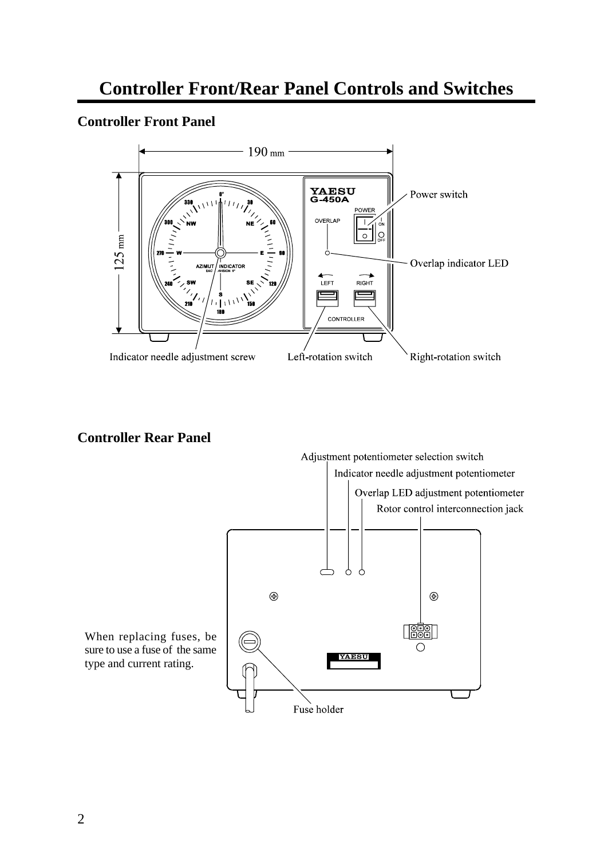## **Controller Front/Rear Panel Controls and Switches**

#### **Controller Front Panel**



#### **Controller Rear Panel**

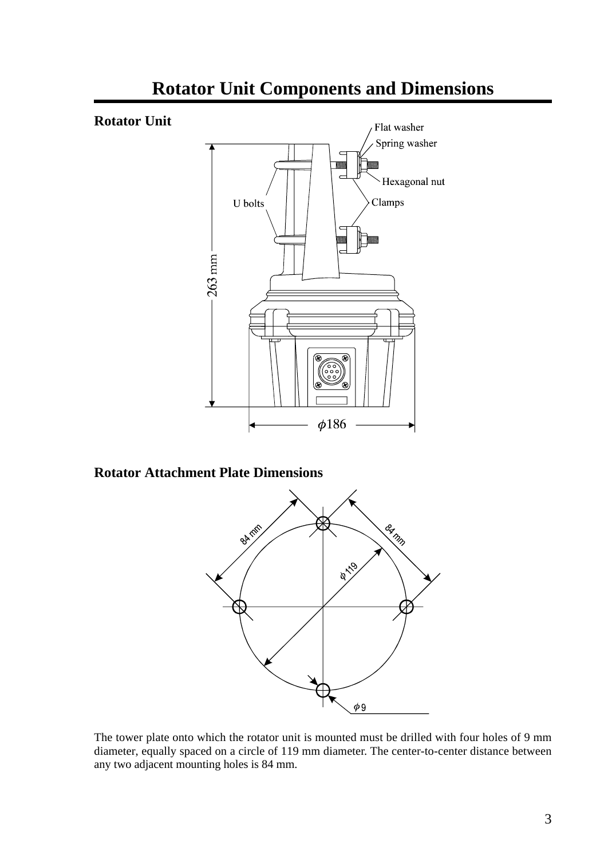

## **Rotator Unit Components and Dimensions**

#### **Rotator Attachment Plate Dimensions**



The tower plate onto which the rotator unit is mounted must be drilled with four holes of 9 mm diameter, equally spaced on a circle of 119 mm diameter. The center-to-center distance between any two adjacent mounting holes is 84 mm.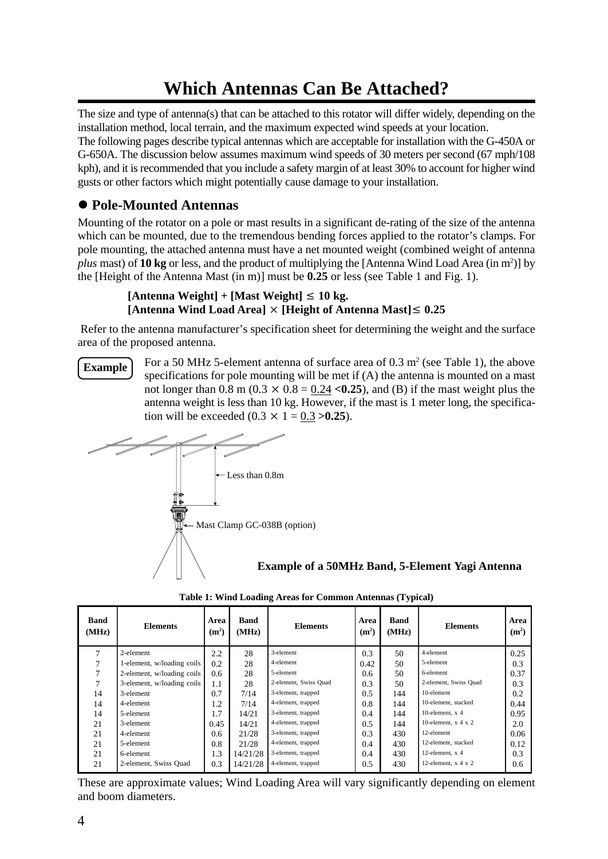## **Which Antennas Can Be Attached?**

The size and type of antenna(s) that can be attached to this rotator will differ widely, depending on the installation method, local terrain, and the maximum expected wind speeds at your location.

The following pages describe typical antennas which are acceptable for installation with the G-450A or G-650A. The discussion below assumes maximum wind speeds of 30 meters per second (67 mph/108 kph), and it is recommended that you include a safety margin of at least 30% to account for higher wind gusts or other factors which might potentially cause damage to your installation.

#### l **Pole-Mounted Antennas**

Mounting of the rotator on a pole or mast results in a significant de-rating of the size of the antenna which can be mounted, due to the tremendous bending forces applied to the rotator's clamps. For pole mounting, the attached antenna must have a net mounted weight (combined weight of antenna *plus* mast) of **10 kg** or less, and the product of multiplying the [Antenna Wind Load Area (in m<sup>2</sup> )] by the [Height of the Antenna Mast (in m)] must be **0.25** or less (see Table 1 and Fig. 1).

#### $[Antenna Weight] + [Mast Weight] \leq 10 kg$ .  $[Antenna Wind Load Area] \times [Height of Antenna Mast] \leq 0.25$

 Refer to the antenna manufacturer's specification sheet for determining the weight and the surface area of the proposed antenna.

**Example**

For a 50 MHz 5-element antenna of surface area of  $0.3 \text{ m}^2$  (see Table 1), the above specifications for pole mounting will be met if (A) the antenna is mounted on a mast not longer than  $0.8$  m  $(0.3 \times 0.8 = 0.24 \le 0.25)$ , and  $(B)$  if the mast weight plus the antenna weight is less than 10 kg. However, if the mast is 1 meter long, the specification will be exceeded  $(0.3 \times 1 = 0.3)$  >0.25).



**Example of a 50MHz Band, 5-Element Yagi Antenna**

| Band<br>(MHz) | <b>Elements</b>            | Area<br>(m <sup>2</sup> ) | Band<br>(MHz) | <b>Elements</b>       | Area<br>(m <sup>2</sup> ) | Band<br>(MHz) | <b>Elements</b>         | Area<br>(m <sup>2</sup> ) |
|---------------|----------------------------|---------------------------|---------------|-----------------------|---------------------------|---------------|-------------------------|---------------------------|
| 7             | 2-element                  | 2.2                       | 28            | 3-element             | 0.3                       | 50            | 4-element               | 0.25                      |
|               | 1-element, w/loading coils | 0.2                       | 28            | 4-element             | 0.42                      | 50            | 5-element               | 0.3                       |
|               | 2-element, w/loading coils | 0.6                       | 28            | 5-element             | 0.6                       | 50            | 6-element               | 0.37                      |
|               | 3-element, w/loading coils | 1.1                       | 28            | 2-element, Swiss Quad | 0.3                       | 50            | 2-element, Swiss Quad   | 0.3                       |
| 14            | 3-element                  | 0.7                       | 7/14          | 3-element, trapped    | 0.5                       | 144           | 10-element              | 0.2                       |
| 14            | 4-element                  | 1.2                       | 7/14          | 4-element, trapped    | 0.8                       | 144           | 10-element, stacked     | 0.44                      |
| 14            | 5-element                  | 1.7                       | 14/21         | 3-element, trapped    | 0.4                       | 144           | 10-element. $x$ 4       | 0.95                      |
| 21            | 3-element                  | 0.45                      | 14/21         | 4-element, trapped    | 0.5                       | 144           | 10-element, $x$ 4 $x$ 2 | 2.0                       |
| 21            | 4-element                  | 0.6                       | 21/28         | 3-element, trapped    | 0.3                       | 430           | 12-element              | 0.06                      |
| 21            | 5-element                  | 0.8                       | 21/28         | 4-element, trapped    | 0.4                       | 430           | 12-element, stacked     | 0.12                      |
| 21            | 6-element                  | 1.3                       | 14/21/28      | 3-element, trapped    | 0.4                       | 430           | 12-element, $x$ 4       | 0.3                       |
| 21            | 2-element, Swiss Quad      | 0.3                       | 14/21/28      | 4-element, trapped    | 0.5                       | 430           | 12-element, $x$ 4 $x$ 2 | 0.6                       |

**Table 1: Wind Loading Areas for Common Antennas (Typical)**

These are approximate values; Wind Loading Area will vary significantly depending on element and boom diameters.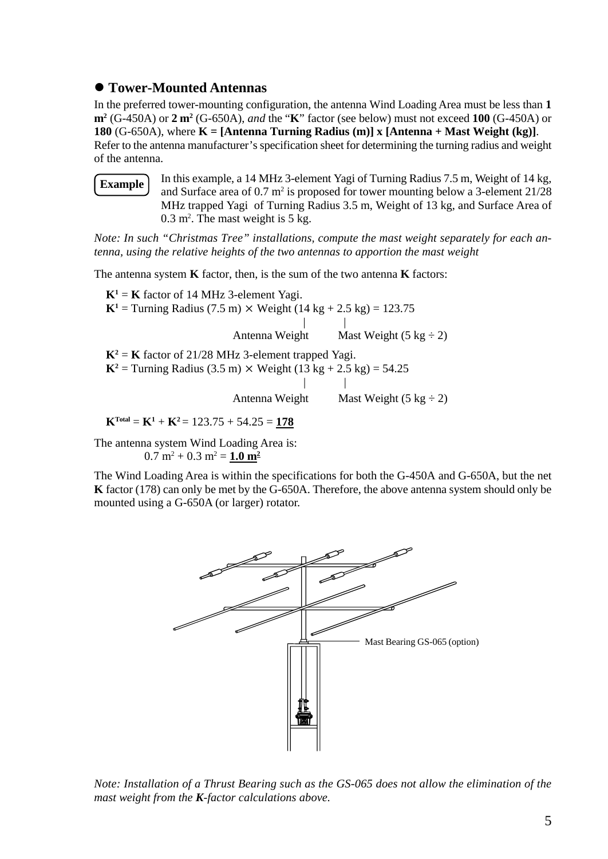#### $\bullet$  **Tower-Mounted Antennas**

In the preferred tower-mounting configuration, the antenna Wind Loading Area must be less than **1 m<sup>2</sup>** (G-450A) or **2 m<sup>2</sup>** (G-650A), *and* the "**K**" factor (see below) must not exceed **100** (G-450A) or **180** (G-650A), where **K = [Antenna Turning Radius (m)] x [Antenna + Mast Weight (kg)]**. Refer to the antenna manufacturer's specification sheet for determining the turning radius and weight of the antenna.

**Example**

In this example, a 14 MHz 3-element Yagi of Turning Radius 7.5 m, Weight of 14 kg, and Surface area of  $0.7 \text{ m}^2$  is proposed for tower mounting below a 3-element  $21/28$ MHz trapped Yagi of Turning Radius 3.5 m, Weight of 13 kg, and Surface Area of  $0.3$  m<sup>2</sup>. The mast weight is 5 kg.

*Note: In such "Christmas Tree" installations, compute the mast weight separately for each antenna, using the relative heights of the two antennas to apportion the mast weight*

The antenna system **K** factor, then, is the sum of the two antenna **K** factors:

 $K^1 = K$  factor of 14 MHz 3-element Yagi. **K**<sup>1</sup> = Turning Radius (7.5 m)  $\times$  Weight (14 kg + 2.5 kg) = 123.75 | | Antenna Weight Mast Weight  $(5 \text{ kg} \div 2)$  $K^2 = K$  factor of 21/28 MHz 3-element trapped Yagi. **K**<sup>2</sup> = Turning Radius (3.5 m)  $\times$  Weight (13 kg + 2.5 kg) = 54.25 | | Antenna Weight Mast Weight  $(5 \text{ kg} \div 2)$  $K<sup>Total</sup> = K<sup>1</sup> + K<sup>2</sup> = 123.75 + 54.25 = 178$ 

The antenna system Wind Loading Area is:

 $0.7 \text{ m}^2 + 0.3 \text{ m}^2 = 1.0 \text{ m}^2$ 

The Wind Loading Area is within the specifications for both the G-450A and G-650A, but the net **K** factor (178) can only be met by the G-650A. Therefore, the above antenna system should only be mounted using a G-650A (or larger) rotator.



*Note: Installation of a Thrust Bearing such as the GS-065 does not allow the elimination of the mast weight from the K-factor calculations above.*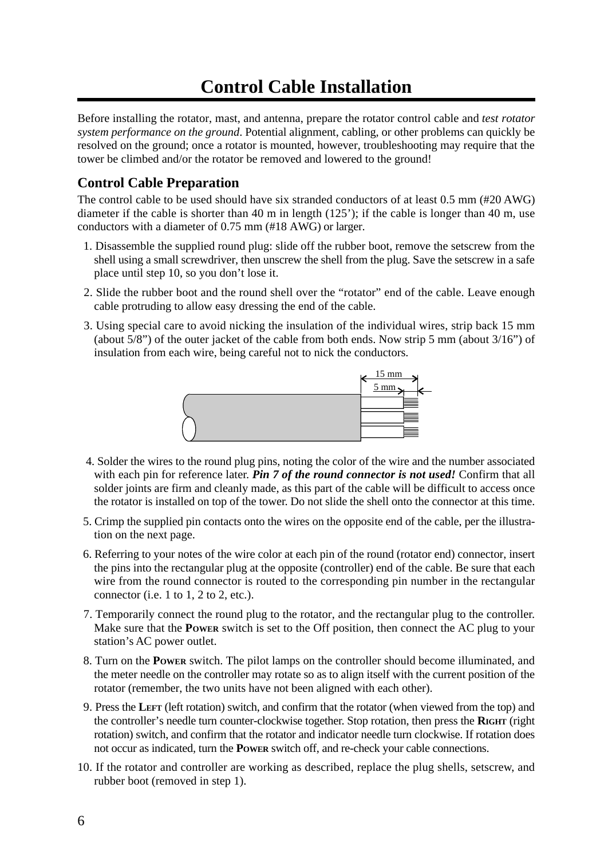## **Control Cable Installation**

Before installing the rotator, mast, and antenna, prepare the rotator control cable and *test rotator system performance on the ground*. Potential alignment, cabling, or other problems can quickly be resolved on the ground; once a rotator is mounted, however, troubleshooting may require that the tower be climbed and/or the rotator be removed and lowered to the ground!

#### **Control Cable Preparation**

The control cable to be used should have six stranded conductors of at least 0.5 mm (#20 AWG) diameter if the cable is shorter than 40 m in length (125'); if the cable is longer than 40 m, use conductors with a diameter of 0.75 mm (#18 AWG) or larger.

- 1. Disassemble the supplied round plug: slide off the rubber boot, remove the setscrew from the shell using a small screwdriver, then unscrew the shell from the plug. Save the setscrew in a safe place until step 10, so you don't lose it.
- 2. Slide the rubber boot and the round shell over the "rotator" end of the cable. Leave enough cable protruding to allow easy dressing the end of the cable.
- 3. Using special care to avoid nicking the insulation of the individual wires, strip back 15 mm (about 5/8") of the outer jacket of the cable from both ends. Now strip 5 mm (about 3/16") of insulation from each wire, being careful not to nick the conductors.



- 4. Solder the wires to the round plug pins, noting the color of the wire and the number associated with each pin for reference later. *Pin 7 of the round connector is not used!* Confirm that all solder joints are firm and cleanly made, as this part of the cable will be difficult to access once the rotator is installed on top of the tower. Do not slide the shell onto the connector at this time.
- 5. Crimp the supplied pin contacts onto the wires on the opposite end of the cable, per the illustration on the next page.
- 6. Referring to your notes of the wire color at each pin of the round (rotator end) connector, insert the pins into the rectangular plug at the opposite (controller) end of the cable. Be sure that each wire from the round connector is routed to the corresponding pin number in the rectangular connector (i.e. 1 to 1, 2 to 2, etc.).
- 7. Temporarily connect the round plug to the rotator, and the rectangular plug to the controller. Make sure that the **POWER** switch is set to the Off position, then connect the AC plug to your station's AC power outlet.
- 8. Turn on the **POWER** switch. The pilot lamps on the controller should become illuminated, and the meter needle on the controller may rotate so as to align itself with the current position of the rotator (remember, the two units have not been aligned with each other).
- 9. Press the **LEFT** (left rotation) switch, and confirm that the rotator (when viewed from the top) and the controller's needle turn counter-clockwise together. Stop rotation, then press the **RIGHT** (right rotation) switch, and confirm that the rotator and indicator needle turn clockwise. If rotation does not occur as indicated, turn the **POWER** switch off, and re-check your cable connections.
- 10. If the rotator and controller are working as described, replace the plug shells, setscrew, and rubber boot (removed in step 1).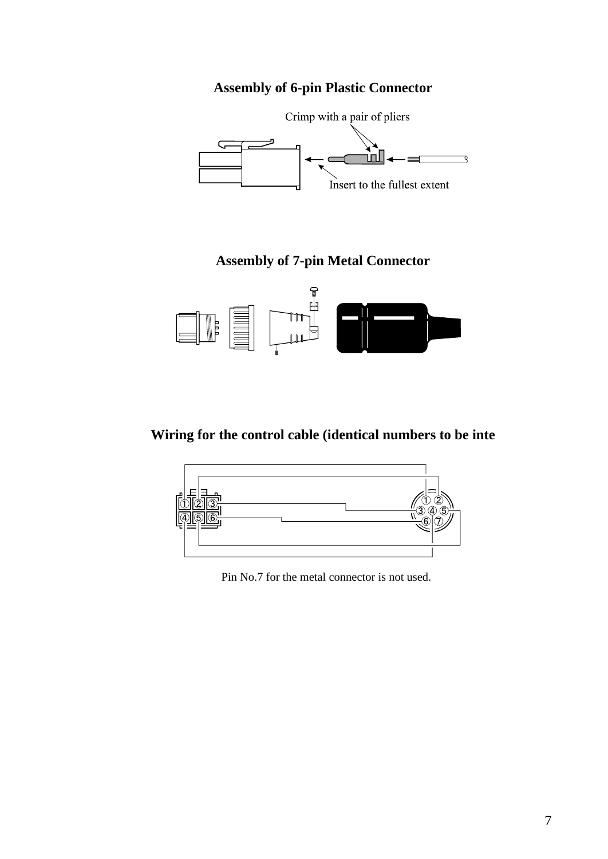#### **Assembly of 6-pin Plastic Connector**



#### **Assembly of 7-pin Metal Connector**



#### **Wiring for the control cable (identical numbers to be inte**



Pin No.7 for the metal connector is not used.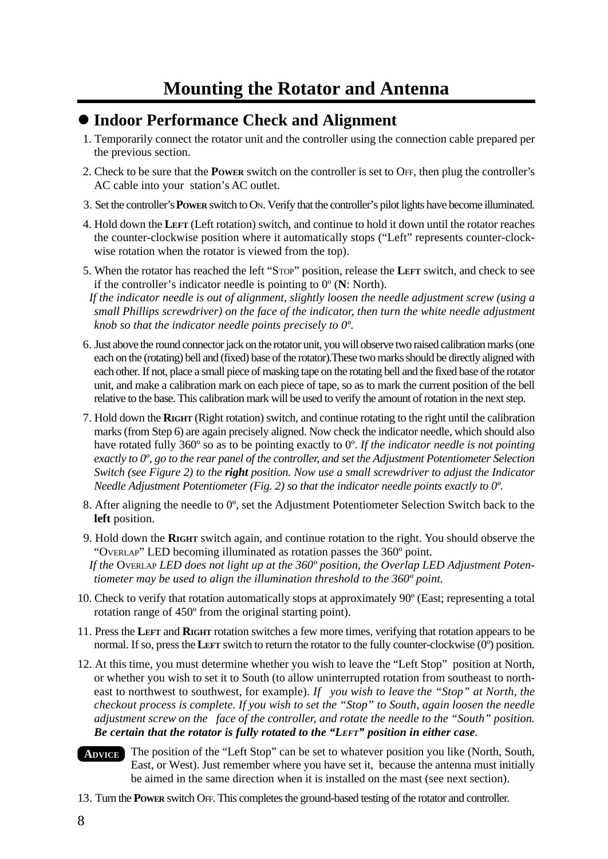### $\bullet$  **Indoor Performance Check and Alignment**

- 1. Temporarily connect the rotator unit and the controller using the connection cable prepared per the previous section.
- 2. Check to be sure that the **POWER** switch on the controller is set to OFF, then plug the controller's AC cable into your station's AC outlet.
- 3. Set the controller's **POWER** switch to ON. Verify that the controller's pilot lights have become illuminated.
- 4. Hold down the **LEFT** (Left rotation) switch, and continue to hold it down until the rotator reaches the counter-clockwise position where it automatically stops ("Left" represents counter-clockwise rotation when the rotator is viewed from the top).
- 5. When the rotator has reached the left "STOP" position, release the **LEFT** switch, and check to see if the controller's indicator needle is pointing to 0º (**N**: North).

 *If the indicator needle is out of alignment, slightly loosen the needle adjustment screw (using a small Phillips screwdriver) on the face of the indicator, then turn the white needle adjustment knob so that the indicator needle points precisely to 0º.*

- 6. Just above the round connector jack on the rotator unit, you will observe two raised calibration marks (one each on the (rotating) bell and (fixed) base of the rotator).These two marks should be directly aligned with each other. If not, place a small piece of masking tape on the rotating bell and the fixed base of the rotator unit, and make a calibration mark on each piece of tape, so as to mark the current position of the bell relative to the base. This calibration mark will be used to verify the amount of rotation in the next step.
- 7. Hold down the **RIGHT** (Right rotation) switch, and continue rotating to the right until the calibration marks (from Step 6) are again precisely aligned. Now check the indicator needle, which should also have rotated fully 360º so as to be pointing exactly to 0º. *If the indicator needle is not pointing exactly to 0º, go to the rear panel of the controller, and set the Adjustment Potentiometer Selection Switch (see Figure 2) to the right position. Now use a small screwdriver to adjust the Indicator Needle Adjustment Potentiometer (Fig. 2) so that the indicator needle points exactly to 0º.*
- 8. After aligning the needle to  $0^\circ$ , set the Adjustment Potentiometer Selection Switch back to the **left** position.
- 9. Hold down the **RIGHT** switch again, and continue rotation to the right. You should observe the "OVERLAP" LED becoming illuminated as rotation passes the 360º point.

 *If the* OVERLAP *LED does not light up at the 360º position, the Overlap LED Adjustment Potentiometer may be used to align the illumination threshold to the 360º point.*

- 10. Check to verify that rotation automatically stops at approximately 90º (East; representing a total rotation range of 450º from the original starting point).
- 11. Press the **LEFT** and **RIGHT** rotation switches a few more times, verifying that rotation appears to be normal. If so, press the **LEFT** switch to return the rotator to the fully counter-clockwise (0º) position.
- 12. At this time, you must determine whether you wish to leave the "Left Stop" position at North, or whether you wish to set it to South (to allow uninterrupted rotation from southeast to northeast to northwest to southwest, for example). *If you wish to leave the "Stop" at North, the checkout process is complete. If you wish to set the "Stop" to South, again loosen the needle adjustment screw on the face of the controller, and rotate the needle to the "South" position. Be certain that the rotator is fully rotated to the "LEFT" position in either case.*
- The position of the "Left Stop" can be set to whatever position you like (North, South, East, or West). Just remember where you have set it, because the antenna must initially be aimed in the same direction when it is installed on the mast (see next section). **ADVICE**
- 13. Turn the **POWER** switch OFF. This completes the ground-based testing of the rotator and controller.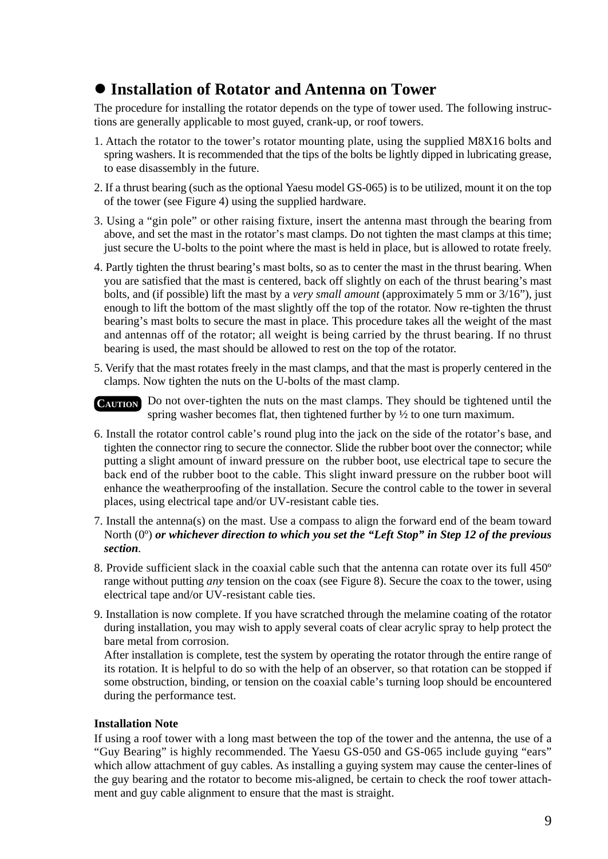## l **Installation of Rotator and Antenna on Tower**

The procedure for installing the rotator depends on the type of tower used. The following instructions are generally applicable to most guyed, crank-up, or roof towers.

- 1. Attach the rotator to the tower's rotator mounting plate, using the supplied M8X16 bolts and spring washers. It is recommended that the tips of the bolts be lightly dipped in lubricating grease, to ease disassembly in the future.
- 2. If a thrust bearing (such as the optional Yaesu model GS-065) is to be utilized, mount it on the top of the tower (see Figure 4) using the supplied hardware.
- 3. Using a "gin pole" or other raising fixture, insert the antenna mast through the bearing from above, and set the mast in the rotator's mast clamps. Do not tighten the mast clamps at this time; just secure the U-bolts to the point where the mast is held in place, but is allowed to rotate freely.
- 4. Partly tighten the thrust bearing's mast bolts, so as to center the mast in the thrust bearing. When you are satisfied that the mast is centered, back off slightly on each of the thrust bearing's mast bolts, and (if possible) lift the mast by a *very small amount* (approximately 5 mm or 3/16"), just enough to lift the bottom of the mast slightly off the top of the rotator. Now re-tighten the thrust bearing's mast bolts to secure the mast in place. This procedure takes all the weight of the mast and antennas off of the rotator; all weight is being carried by the thrust bearing. If no thrust bearing is used, the mast should be allowed to rest on the top of the rotator.
- 5. Verify that the mast rotates freely in the mast clamps, and that the mast is properly centered in the clamps. Now tighten the nuts on the U-bolts of the mast clamp.
- CAUTION Do not over-tighten the nuts on the mast clamps. They should be tightened until the spring washer becomes flat, then tightened further by  $\frac{1}{2}$  to one turn maximum.
- 6. Install the rotator control cable's round plug into the jack on the side of the rotator's base, and tighten the connector ring to secure the connector. Slide the rubber boot over the connector; while putting a slight amount of inward pressure on the rubber boot, use electrical tape to secure the back end of the rubber boot to the cable. This slight inward pressure on the rubber boot will enhance the weatherproofing of the installation. Secure the control cable to the tower in several places, using electrical tape and/or UV-resistant cable ties.
- 7. Install the antenna(s) on the mast. Use a compass to align the forward end of the beam toward North (0º) *or whichever direction to which you set the "Left Stop" in Step 12 of the previous section*.
- 8. Provide sufficient slack in the coaxial cable such that the antenna can rotate over its full 450º range without putting *any* tension on the coax (see Figure 8). Secure the coax to the tower, using electrical tape and/or UV-resistant cable ties.
- 9. Installation is now complete. If you have scratched through the melamine coating of the rotator during installation, you may wish to apply several coats of clear acrylic spray to help protect the bare metal from corrosion.

After installation is complete, test the system by operating the rotator through the entire range of its rotation. It is helpful to do so with the help of an observer, so that rotation can be stopped if some obstruction, binding, or tension on the coaxial cable's turning loop should be encountered during the performance test.

#### **Installation Note**

If using a roof tower with a long mast between the top of the tower and the antenna, the use of a "Guy Bearing" is highly recommended. The Yaesu GS-050 and GS-065 include guying "ears" which allow attachment of guy cables. As installing a guying system may cause the center-lines of the guy bearing and the rotator to become mis-aligned, be certain to check the roof tower attachment and guy cable alignment to ensure that the mast is straight.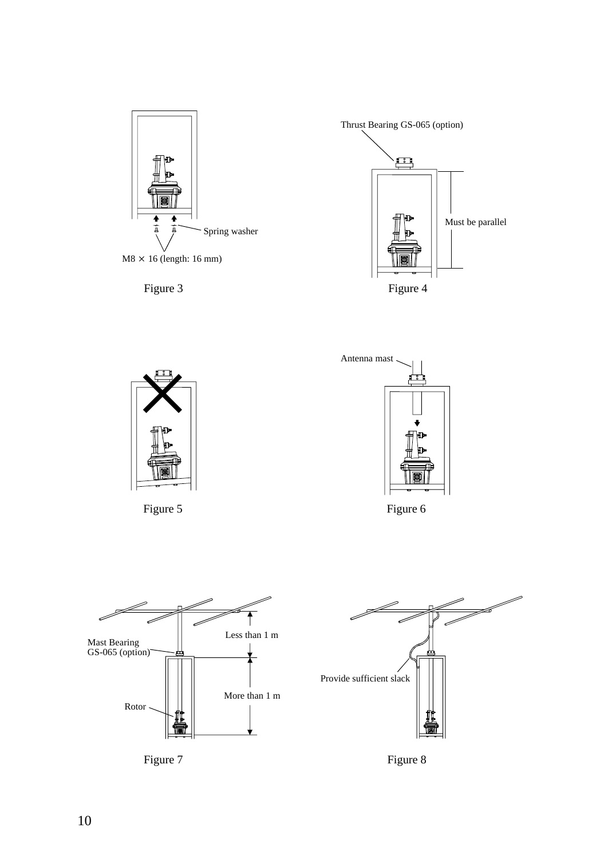









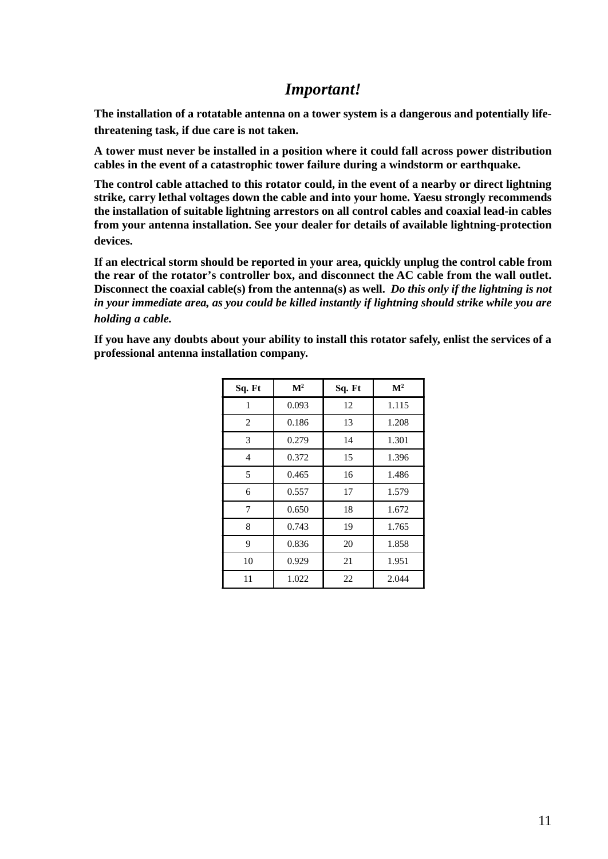#### *Important!*

**The installation of a rotatable antenna on a tower system is a dangerous and potentially lifethreatening task, if due care is not taken.**

**A tower must never be installed in a position where it could fall across power distribution cables in the event of a catastrophic tower failure during a windstorm or earthquake.**

**The control cable attached to this rotator could, in the event of a nearby or direct lightning strike, carry lethal voltages down the cable and into your home. Yaesu strongly recommends the installation of suitable lightning arrestors on all control cables and coaxial lead-in cables from your antenna installation. See your dealer for details of available lightning-protection devices.**

**If an electrical storm should be reported in your area, quickly unplug the control cable from the rear of the rotator's controller box, and disconnect the AC cable from the wall outlet. Disconnect the coaxial cable(s) from the antenna(s) as well.** *Do this only if the lightning is not in your immediate area, as you could be killed instantly if lightning should strike while you are holding a cable.*

**If you have any doubts about your ability to install this rotator safely, enlist the services of a professional antenna installation company.**

| Sq. Ft         | $\mathbf{M}^2$ | Sq. Ft | $\mathbf{M}^2$ |
|----------------|----------------|--------|----------------|
| 1              | 0.093          | 12     | 1.115          |
| 2              | 0.186          | 13     | 1.208          |
| 3              | 0.279          | 14     | 1.301          |
| $\overline{4}$ | 0.372          | 15     | 1.396          |
| 5              | 0.465          | 16     | 1.486          |
| 6              | 0.557          | 17     | 1.579          |
| 7              | 0.650          | 18     | 1.672          |
| 8              | 0.743          | 19     | 1.765          |
| 9              | 0.836          | 20     | 1.858          |
| 10             | 0.929          | 21     | 1.951          |
| 11             | 1.022          | 22     | 2.044          |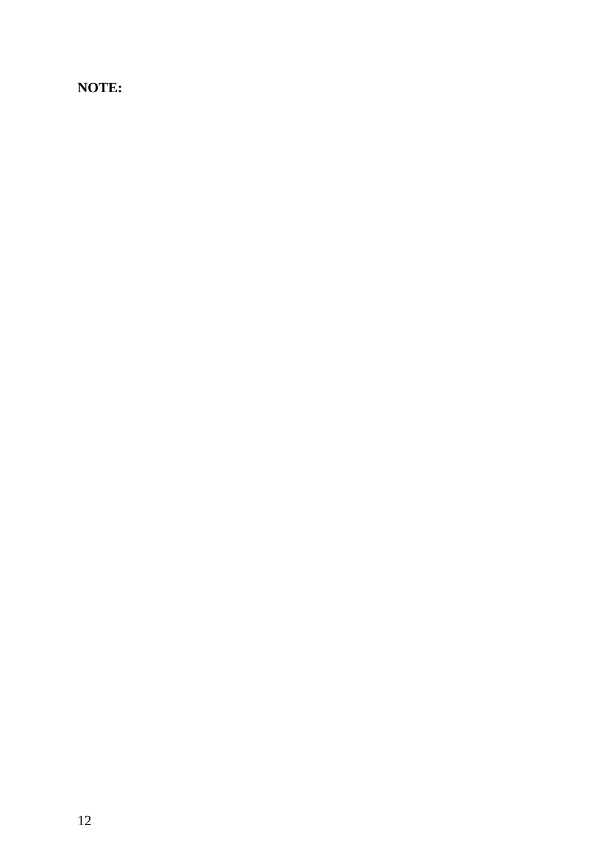### **NOTE:**